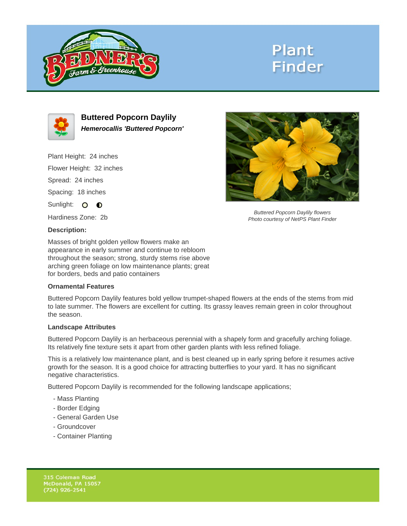

# **Plant Finder**



**Buttered Popcorn Daylily Hemerocallis 'Buttered Popcorn'**

Plant Height: 24 inches Flower Height: 32 inches Spread: 24 inches Spacing: 18 inches Sunlight: O **O** 

Hardiness Zone: 2b

## **Description:**

Masses of bright golden yellow flowers make an appearance in early summer and continue to rebloom throughout the season; strong, sturdy stems rise above arching green foliage on low maintenance plants; great for borders, beds and patio containers

### **Ornamental Features**

Buttered Popcorn Daylily features bold yellow trumpet-shaped flowers at the ends of the stems from mid to late summer. The flowers are excellent for cutting. Its grassy leaves remain green in color throughout the season.

#### **Landscape Attributes**

Buttered Popcorn Daylily is an herbaceous perennial with a shapely form and gracefully arching foliage. Its relatively fine texture sets it apart from other garden plants with less refined foliage.

This is a relatively low maintenance plant, and is best cleaned up in early spring before it resumes active growth for the season. It is a good choice for attracting butterflies to your yard. It has no significant negative characteristics.

Buttered Popcorn Daylily is recommended for the following landscape applications;

- Mass Planting
- Border Edging
- General Garden Use
- Groundcover
- Container Planting



Buttered Popcorn Daylily flowers Photo courtesy of NetPS Plant Finder

315 Coleman Road McDonald, PA 15057  $(724)$  926-2541